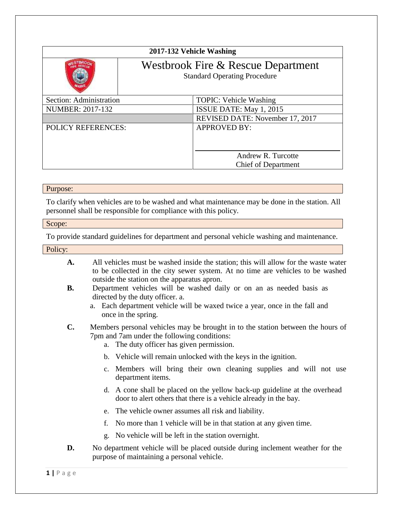| 2017-132 Vehicle Washing                                                  |                                                  |
|---------------------------------------------------------------------------|--------------------------------------------------|
| Westbrook Fire & Rescue Department<br><b>Standard Operating Procedure</b> |                                                  |
| Section: Administration                                                   | <b>TOPIC: Vehicle Washing</b>                    |
| <b>NUMBER: 2017-132</b>                                                   | ISSUE DATE: May 1, 2015                          |
|                                                                           | REVISED DATE: November 17, 2017                  |
| <b>POLICY REFERENCES:</b>                                                 | <b>APPROVED BY:</b>                              |
|                                                                           | Andrew R. Turcotte<br><b>Chief of Department</b> |

## Purpose:

To clarify when vehicles are to be washed and what maintenance may be done in the station. All personnel shall be responsible for compliance with this policy.

## Scope:

To provide standard guidelines for department and personal vehicle washing and maintenance.

Policy:

- **A.** All vehicles must be washed inside the station; this will allow for the waste water to be collected in the city sewer system. At no time are vehicles to be washed outside the station on the apparatus apron.
- **B.** Department vehicles will be washed daily or on an as needed basis as directed by the duty officer. a.
	- a. Each department vehicle will be waxed twice a year, once in the fall and once in the spring.
- **C.** Members personal vehicles may be brought in to the station between the hours of 7pm and 7am under the following conditions:
	- a. The duty officer has given permission.
	- b. Vehicle will remain unlocked with the keys in the ignition.
	- c. Members will bring their own cleaning supplies and will not use department items.
	- d. A cone shall be placed on the yellow back-up guideline at the overhead door to alert others that there is a vehicle already in the bay.
	- e. The vehicle owner assumes all risk and liability.
	- f. No more than 1 vehicle will be in that station at any given time.
	- g. No vehicle will be left in the station overnight.
- **D.** No department vehicle will be placed outside during inclement weather for the purpose of maintaining a personal vehicle.